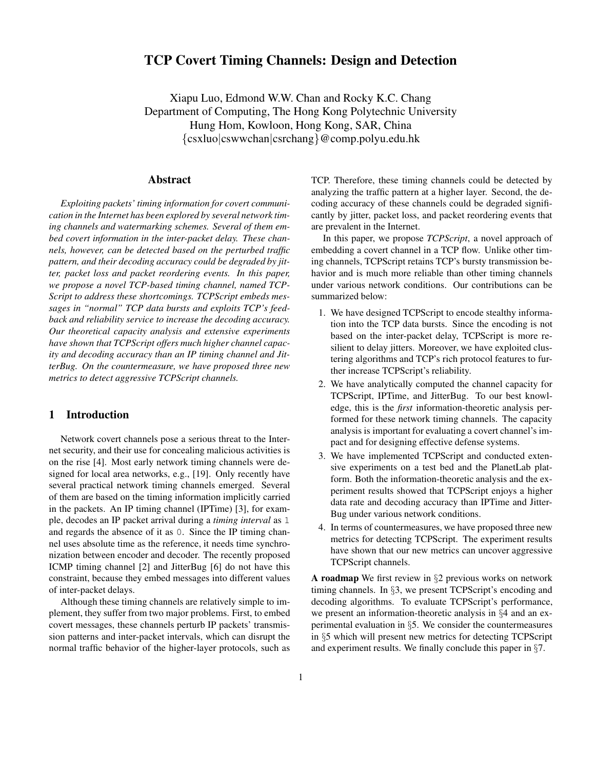# **TCP Covert Timing Channels: Design and Detection**

Xiapu Luo, Edmond W.W. Chan and Rocky K.C. Chang Department of Computing, The Hong Kong Polytechnic University Hung Hom, Kowloon, Hong Kong, SAR, China {csxluo|cswwchan|csrchang}@comp.polyu.edu.hk

## **Abstract**

*Exploiting packets' timing information for covert communication in the Internet has been explored by several network timing channels and watermarking schemes. Several of them embed covert information in the inter-packet delay. These channels, however, can be detected based on the perturbed traffic pattern, and their decoding accuracy could be degraded by jitter, packet loss and packet reordering events. In this paper, we propose a novel TCP-based timing channel, named TCP-Script to address these shortcomings. TCPScript embeds messages in "normal" TCP data bursts and exploits TCP's feedback and reliability service to increase the decoding accuracy. Our theoretical capacity analysis and extensive experiments have shown that TCPScript offers much higher channel capacity and decoding accuracy than an IP timing channel and JitterBug. On the countermeasure, we have proposed three new metrics to detect aggressive TCPScript channels.*

# **1 Introduction**

Network covert channels pose a serious threat to the Internet security, and their use for concealing malicious activities is on the rise [4]. Most early network timing channels were designed for local area networks, e.g., [19]. Only recently have several practical network timing channels emerged. Several of them are based on the timing information implicitly carried in the packets. An IP timing channel (IPTime) [3], for example, decodes an IP packet arrival during a *timing interval* as 1 and regards the absence of it as 0. Since the IP timing channel uses absolute time as the reference, it needs time synchronization between encoder and decoder. The recently proposed ICMP timing channel [2] and JitterBug [6] do not have this constraint, because they embed messages into different values of inter-packet delays.

Although these timing channels are relatively simple to implement, they suffer from two major problems. First, to embed covert messages, these channels perturb IP packets' transmission patterns and inter-packet intervals, which can disrupt the normal traffic behavior of the higher-layer protocols, such as

TCP. Therefore, these timing channels could be detected by analyzing the traffic pattern at a higher layer. Second, the decoding accuracy of these channels could be degraded significantly by jitter, packet loss, and packet reordering events that are prevalent in the Internet.

In this paper, we propose *TCPScript*, a novel approach of embedding a covert channel in a TCP flow. Unlike other timing channels, TCPScript retains TCP's bursty transmission behavior and is much more reliable than other timing channels under various network conditions. Our contributions can be summarized below:

- 1. We have designed TCPScript to encode stealthy information into the TCP data bursts. Since the encoding is not based on the inter-packet delay, TCPScript is more resilient to delay jitters. Moreover, we have exploited clustering algorithms and TCP's rich protocol features to further increase TCPScript's reliability.
- 2. We have analytically computed the channel capacity for TCPScript, IPTime, and JitterBug. To our best knowledge, this is the *first* information-theoretic analysis performed for these network timing channels. The capacity analysis is important for evaluating a covert channel's impact and for designing effective defense systems.
- 3. We have implemented TCPScript and conducted extensive experiments on a test bed and the PlanetLab platform. Both the information-theoretic analysis and the experiment results showed that TCPScript enjoys a higher data rate and decoding accuracy than IPTime and Jitter-Bug under various network conditions.
- 4. In terms of countermeasures, we have proposed three new metrics for detecting TCPScript. The experiment results have shown that our new metrics can uncover aggressive TCPScript channels.

**A roadmap** We first review in §2 previous works on network timing channels. In §3, we present TCPScript's encoding and decoding algorithms. To evaluate TCPScript's performance, we present an information-theoretic analysis in §4 and an experimental evaluation in §5. We consider the countermeasures in §5 which will present new metrics for detecting TCPScript and experiment results. We finally conclude this paper in §7.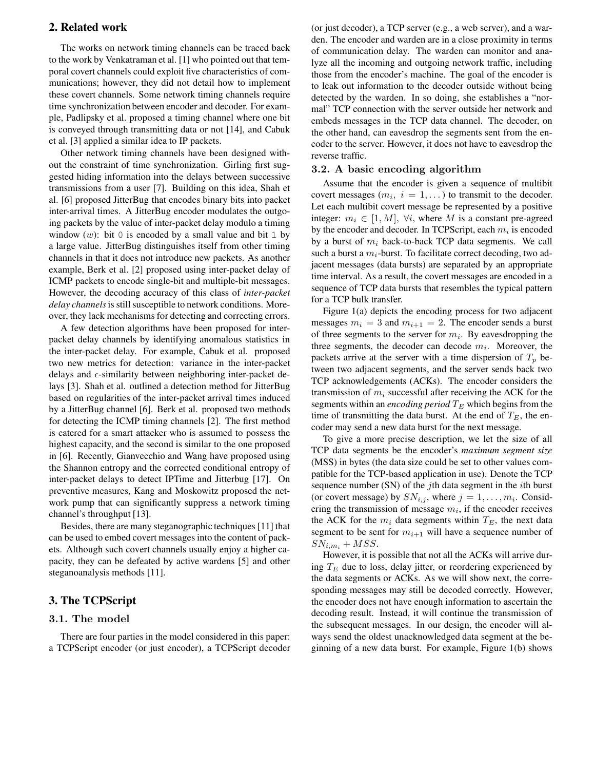# **2. Related work**

The works on network timing channels can be traced back to the work by Venkatraman et al. [1] who pointed out that temporal covert channels could exploit five characteristics of communications; however, they did not detail how to implement these covert channels. Some network timing channels require time synchronization between encoder and decoder. For example, Padlipsky et al. proposed a timing channel where one bit is conveyed through transmitting data or not [14], and Cabuk et al. [3] applied a similar idea to IP packets.

Other network timing channels have been designed without the constraint of time synchronization. Girling first suggested hiding information into the delays between successive transmissions from a user [7]. Building on this idea, Shah et al. [6] proposed JitterBug that encodes binary bits into packet inter-arrival times. A JitterBug encoder modulates the outgoing packets by the value of inter-packet delay modulo a timing window  $(w)$ : bit 0 is encoded by a small value and bit 1 by a large value. JitterBug distinguishes itself from other timing channels in that it does not introduce new packets. As another example, Berk et al. [2] proposed using inter-packet delay of ICMP packets to encode single-bit and multiple-bit messages. However, the decoding accuracy of this class of *inter-packet delay channels*is still susceptible to network conditions. Moreover, they lack mechanisms for detecting and correcting errors.

A few detection algorithms have been proposed for interpacket delay channels by identifying anomalous statistics in the inter-packet delay. For example, Cabuk et al. proposed two new metrics for detection: variance in the inter-packet delays and  $\epsilon$ -similarity between neighboring inter-packet delays [3]. Shah et al. outlined a detection method for JitterBug based on regularities of the inter-packet arrival times induced by a JitterBug channel [6]. Berk et al. proposed two methods for detecting the ICMP timing channels [2]. The first method is catered for a smart attacker who is assumed to possess the highest capacity, and the second is similar to the one proposed in [6]. Recently, Gianvecchio and Wang have proposed using the Shannon entropy and the corrected conditional entropy of inter-packet delays to detect IPTime and Jitterbug [17]. On preventive measures, Kang and Moskowitz proposed the network pump that can significantly suppress a network timing channel's throughput [13].

Besides, there are many steganographic techniques [11] that can be used to embed covert messages into the content of packets. Although such covert channels usually enjoy a higher capacity, they can be defeated by active wardens [5] and other steganoanalysis methods [11].

# **3. The TCPScript**

# 3.1. The model

There are four parties in the model considered in this paper: a TCPScript encoder (or just encoder), a TCPScript decoder (or just decoder), a TCP server (e.g., a web server), and a warden. The encoder and warden are in a close proximity in terms of communication delay. The warden can monitor and analyze all the incoming and outgoing network traffic, including those from the encoder's machine. The goal of the encoder is to leak out information to the decoder outside without being detected by the warden. In so doing, she establishes a "normal" TCP connection with the server outside her network and embeds messages in the TCP data channel. The decoder, on the other hand, can eavesdrop the segments sent from the encoder to the server. However, it does not have to eavesdrop the reverse traffic.

#### 3.2. A basic encoding algorithm

Assume that the encoder is given a sequence of multibit covert messages  $(m_i, i = 1, ...)$  to transmit to the decoder. Let each multibit covert message be represented by a positive integer:  $m_i \in [1, M]$ ,  $\forall i$ , where M is a constant pre-agreed by the encoder and decoder. In TCPScript, each  $m_i$  is encoded by a burst of  $m_i$  back-to-back TCP data segments. We call such a burst a  $m_i$ -burst. To facilitate correct decoding, two adjacent messages (data bursts) are separated by an appropriate time interval. As a result, the covert messages are encoded in a sequence of TCP data bursts that resembles the typical pattern for a TCP bulk transfer.

Figure 1(a) depicts the encoding process for two adjacent messages  $m_i = 3$  and  $m_{i+1} = 2$ . The encoder sends a burst of three segments to the server for  $m_i$ . By eavesdropping the three segments, the decoder can decode  $m_i$ . Moreover, the packets arrive at the server with a time dispersion of  $T_p$  between two adjacent segments, and the server sends back two TCP acknowledgements (ACKs). The encoder considers the transmission of  $m_i$  successful after receiving the ACK for the segments within an *encoding period*  $T_E$  which begins from the time of transmitting the data burst. At the end of  $T_E$ , the encoder may send a new data burst for the next message.

To give a more precise description, we let the size of all TCP data segments be the encoder's *maximum segment size* (MSS) in bytes (the data size could be set to other values compatible for the TCP-based application in use). Denote the TCP sequence number (SN) of the  $j$ th data segment in the  $i$ th burst (or covert message) by  $SN_{i,j}$ , where  $j = 1, \ldots, m_i$ . Considering the transmission of message  $m_i$ , if the encoder receives the ACK for the  $m_i$  data segments within  $T_E$ , the next data segment to be sent for  $m_{i+1}$  will have a sequence number of  $SN_{i,m_i} + MSS.$ 

However, it is possible that not all the ACKs will arrive during  $T_E$  due to loss, delay jitter, or reordering experienced by the data segments or ACKs. As we will show next, the corresponding messages may still be decoded correctly. However, the encoder does not have enough information to ascertain the decoding result. Instead, it will continue the transmission of the subsequent messages. In our design, the encoder will always send the oldest unacknowledged data segment at the beginning of a new data burst. For example, Figure 1(b) shows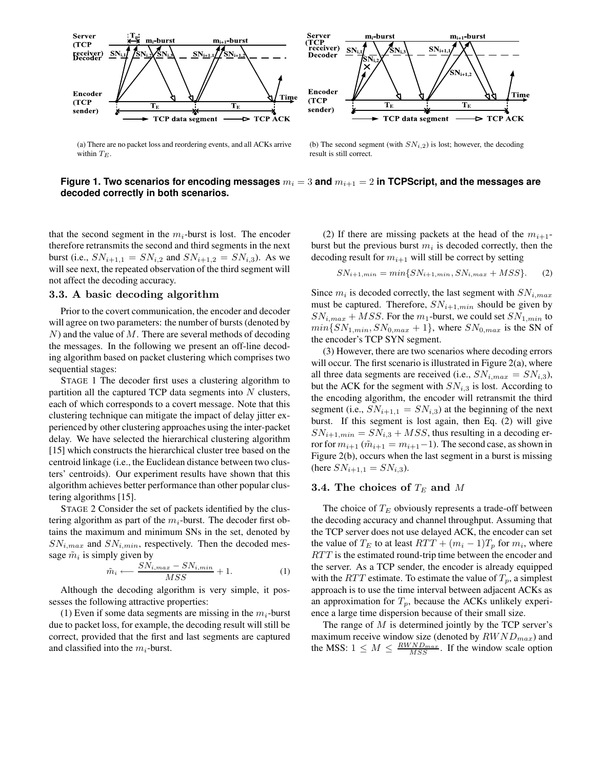

Server<br>(TCP<br>receiver)  $\mathbf{m}_{i+1}$ -burst  $\mathbf{m}_{i+1}$ -burst  $SN_{i+1}$ **SN** Decoder **i,2 i+1,2** Encoder Time  $(TCP)$ **E E** sender) TCP data segment  $\blacktriangleright$  TCP ACK

(a) There are no packet loss and reordering events, and all ACKs arrive within  $T_E$ .

(b) The second segment (with  $SN_{i,2}$ ) is lost; however, the decoding result is still correct.

# **Figure 1. Two scenarios for encoding messages**  $m_i = 3$  and  $m_{i+1} = 2$  in TCPScript, and the messages are **decoded correctly in both scenarios.**

that the second segment in the  $m_i$ -burst is lost. The encoder therefore retransmits the second and third segments in the next burst (i.e.,  $SN_{i+1,1} = SN_{i,2}$  and  $SN_{i+1,2} = SN_{i,3}$ ). As we will see next, the repeated observation of the third segment will not affect the decoding accuracy.

#### 3.3. A basic decoding algorithm

Prior to the covert communication, the encoder and decoder will agree on two parameters: the number of bursts (denoted by  $N$ ) and the value of M. There are several methods of decoding the messages. In the following we present an off-line decoding algorithm based on packet clustering which comprises two sequential stages:

STAGE 1 The decoder first uses a clustering algorithm to partition all the captured TCP data segments into  $N$  clusters, each of which corresponds to a covert message. Note that this clustering technique can mitigate the impact of delay jitter experienced by other clustering approaches using the inter-packet delay. We have selected the hierarchical clustering algorithm [15] which constructs the hierarchical cluster tree based on the centroid linkage (i.e., the Euclidean distance between two clusters' centroids). Our experiment results have shown that this algorithm achieves better performance than other popular clustering algorithms [15].

STAGE 2 Consider the set of packets identified by the clustering algorithm as part of the  $m_i$ -burst. The decoder first obtains the maximum and minimum SNs in the set, denoted by  $SN_{i,max}$  and  $SN_{i,min}$ , respectively. Then the decoded message  $\tilde{m}_i$  is simply given by

$$
\tilde{m}_i \longleftarrow \frac{SN_{i,max} - SN_{i,min}}{MSS} + 1. \tag{1}
$$

Although the decoding algorithm is very simple, it possesses the following attractive properties:

(1) Even if some data segments are missing in the  $m_i$ -burst due to packet loss, for example, the decoding result will still be correct, provided that the first and last segments are captured and classified into the  $m_i$ -burst.

(2) If there are missing packets at the head of the  $m_{i+1}$ burst but the previous burst  $m_i$  is decoded correctly, then the decoding result for  $m_{i+1}$  will still be correct by setting

$$
SN_{i+1,min} = min\{SN_{i+1,min}, SN_{i,max} + MSS\}.
$$
 (2)

Since  $m_i$  is decoded correctly, the last segment with  $SN_{i,max}$ must be captured. Therefore,  $SN_{i+1,min}$  should be given by  $SN_{i,max} + MSS$ . For the  $m_1$ -burst, we could set  $SN_{1,min}$  to  $min\{SN_{1,min}, SN_{0,max} + 1\}$ , where  $SN_{0,max}$  is the SN of the encoder's TCP SYN segment.

(3) However, there are two scenarios where decoding errors will occur. The first scenario is illustrated in Figure 2(a), where all three data segments are received (i.e.,  $SN_{i,max} = SN_{i,3}$ ), but the ACK for the segment with  $SN_{i,3}$  is lost. According to the encoding algorithm, the encoder will retransmit the third segment (i.e.,  $SN_{i+1,1} = SN_{i,3}$ ) at the beginning of the next burst. If this segment is lost again, then Eq. (2) will give  $SN_{i+1,min} = SN_{i,3} + MSS$ , thus resulting in a decoding error for  $m_{i+1}$  ( $\tilde{m}_{i+1} = m_{i+1} - 1$ ). The second case, as shown in Figure 2(b), occurs when the last segment in a burst is missing (here  $SN_{i+1,1} = SN_{i,3}$ ).

## 3.4. The choices of  $T_E$  and M

The choice of  $T_E$  obviously represents a trade-off between the decoding accuracy and channel throughput. Assuming that the TCP server does not use delayed ACK, the encoder can set the value of  $T_E$  to at least  $RTT + (m_i - 1)T_p$  for  $m_i$ , where RTT is the estimated round-trip time between the encoder and the server. As a TCP sender, the encoder is already equipped with the RTT estimate. To estimate the value of  $T_p$ , a simplest approach is to use the time interval between adjacent ACKs as an approximation for  $T_p$ , because the ACKs unlikely experience a large time dispersion because of their small size.

The range of  $M$  is determined jointly by the TCP server's maximum receive window size (denoted by  $RWND_{max}$ ) and the MSS:  $1 \leq M \leq \frac{RWND_{max}}{MSS}$ . If the window scale option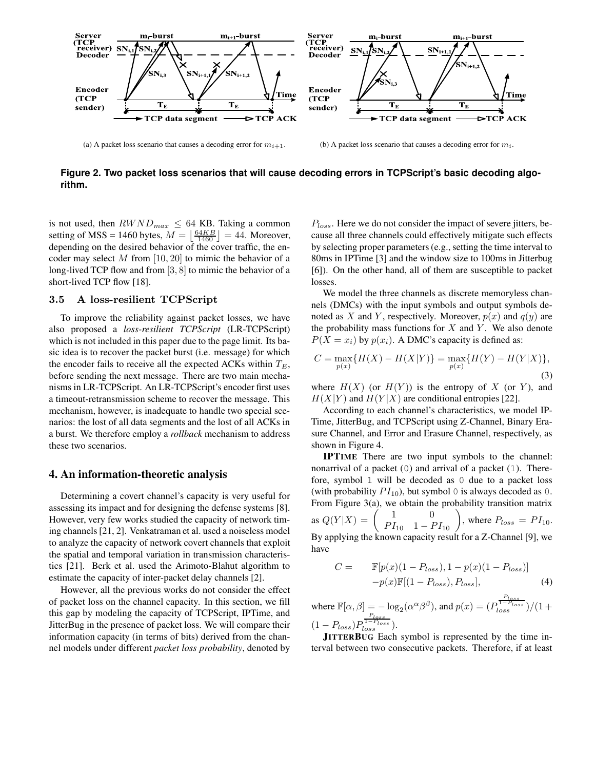

(a) A packet loss scenario that causes a decoding error for  $m_{i+1}$ . (b) A packet loss scenario that causes a decoding error for  $m_i$ .

**Figure 2. Two packet loss scenarios that will cause decoding errors in TCPScript's basic decoding algorithm.**

is not used, then  $RWND_{max} \leq 64$  KB. Taking a common setting of MSS = 1460 bytes,  $M = \left\lfloor \frac{64KB}{1460} \right\rfloor = 44$ . Moreover, depending on the desired behavior of the cover traffic, the encoder may select M from  $[10, 20]$  to mimic the behavior of a long-lived TCP flow and from [3, 8] to mimic the behavior of a short-lived TCP flow [18].

# 3.5 A loss-resilient TCPScript

To improve the reliability against packet losses, we have also proposed a *loss-resilient TCPScript* (LR-TCPScript) which is not included in this paper due to the page limit. Its basic idea is to recover the packet burst (i.e. message) for which the encoder fails to receive all the expected ACKs within  $T_E$ , before sending the next message. There are two main mechanisms in LR-TCPScript. An LR-TCPScript's encoder first uses a timeout-retransmission scheme to recover the message. This mechanism, however, is inadequate to handle two special scenarios: the lost of all data segments and the lost of all ACKs in a burst. We therefore employ a *rollback* mechanism to address these two scenarios.

#### **4. An information-theoretic analysis**

Determining a covert channel's capacity is very useful for assessing its impact and for designing the defense systems [8]. However, very few works studied the capacity of network timing channels[21, 2]. Venkatraman et al. used a noiseless model to analyze the capacity of network covert channels that exploit the spatial and temporal variation in transmission characteristics [21]. Berk et al. used the Arimoto-Blahut algorithm to estimate the capacity of inter-packet delay channels [2].

However, all the previous works do not consider the effect of packet loss on the channel capacity. In this section, we fill this gap by modeling the capacity of TCPScript, IPTime, and JitterBug in the presence of packet loss. We will compare their information capacity (in terms of bits) derived from the channel models under different *packet loss probability*, denoted by

 $P_{loss}$ . Here we do not consider the impact of severe jitters, because all three channels could effectively mitigate such effects by selecting proper parameters(e.g., setting the time interval to 80ms in IPTime [3] and the window size to 100ms in Jitterbug [6]). On the other hand, all of them are susceptible to packet losses.

We model the three channels as discrete memoryless channels (DMCs) with the input symbols and output symbols denoted as X and Y, respectively. Moreover,  $p(x)$  and  $q(y)$  are the probability mass functions for  $X$  and  $Y$ . We also denote  $P(X = x_i)$  by  $p(x_i)$ . A DMC's capacity is defined as:

$$
C = \max_{p(x)} \{ H(X) - H(X|Y) \} = \max_{p(x)} \{ H(Y) - H(Y|X) \},\tag{3}
$$

where  $H(X)$  (or  $H(Y)$ ) is the entropy of X (or Y), and  $H(X|Y)$  and  $H(Y|X)$  are conditional entropies [22].

According to each channel's characteristics, we model IP-Time, JitterBug, and TCPScript using Z-Channel, Binary Erasure Channel, and Error and Erasure Channel, respectively, as shown in Figure 4.

**IPTIME** There are two input symbols to the channel: nonarrival of a packet (0) and arrival of a packet (1). Therefore, symbol 1 will be decoded as 0 due to a packet loss (with probability  $PI_{10}$ ), but symbol 0 is always decoded as 0. From Figure 3(a), we obtain the probability transition matrix as  $Q(Y|X) = \begin{pmatrix} 1 & 0 \\ PI_{10} & 1 - PI_{10} \end{pmatrix}$ , where  $P_{loss} = PI_{10}$ . By applying the known capacity result for a Z-Channel [9], we have

$$
C = \mathbb{F}[p(x)(1 - P_{loss}), 1 - p(x)(1 - P_{loss})] -p(x)\mathbb{F}[(1 - P_{loss}), P_{loss}],
$$
 (4)

where  $\mathbb{F}[\alpha, \beta] = -\log_2(\alpha^{\alpha} \beta^{\beta})$ , and  $p(x) = (P)$  $\frac{P_{loss}}{1-P_{loss}})/(1+$  $(1 - P_{loss})F$  $\frac{P_{loss}}{1-P_{loss}}$ ).

**JITTERBUG** Each symbol is represented by the time interval between two consecutive packets. Therefore, if at least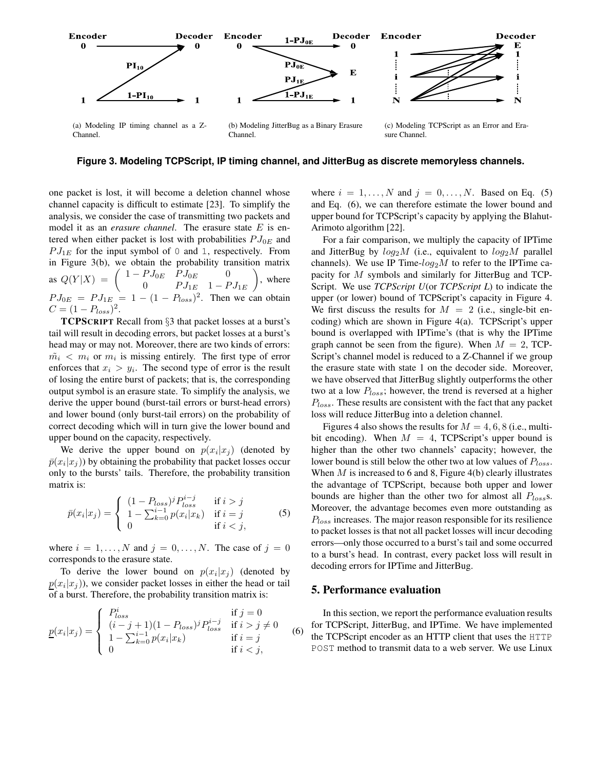

**Figure 3. Modeling TCPScript, IP timing channel, and JitterBug as discrete memoryless channels.**

one packet is lost, it will become a deletion channel whose channel capacity is difficult to estimate [23]. To simplify the analysis, we consider the case of transmitting two packets and model it as an *erasure channel*. The erasure state E is entered when either packet is lost with probabilities  $PJ_{0E}$  and  $PJ_{1E}$  for the input symbol of 0 and 1, respectively. From in Figure 3(b), we obtain the probability transition matrix as  $Q(Y|X) = \begin{pmatrix} 1 - P J_{0E} & P J_{0E} & 0 \\ 0 & P J & 1 & E \end{pmatrix}$ 0  $PJ_{1E}$  1 –  $PJ_{1E}$ ), where  $P J_{0E} = P J_{1E} = 1 - (1 - P_{loss})^2$ . Then we can obtain  $C = (1 - P_{loss})^2$ .

**TCPSCRIPT** Recall from §3 that packet losses at a burst's tail will result in decoding errors, but packet losses at a burst's head may or may not. Moreover, there are two kinds of errors:  $\tilde{m}_i < m_i$  or  $m_i$  is missing entirely. The first type of error enforces that  $x_i > y_i$ . The second type of error is the result of losing the entire burst of packets; that is, the corresponding output symbol is an erasure state. To simplify the analysis, we derive the upper bound (burst-tail errors or burst-head errors) and lower bound (only burst-tail errors) on the probability of correct decoding which will in turn give the lower bound and upper bound on the capacity, respectively.

We derive the upper bound on  $p(x_i|x_j)$  (denoted by  $\bar{p}(x_i|x_j)$ ) by obtaining the probability that packet losses occur only to the bursts' tails. Therefore, the probability transition matrix is:

$$
\bar{p}(x_i|x_j) = \begin{cases}\n(1 - P_{loss})^j P_{loss}^{i-j} & \text{if } i > j \\
1 - \sum_{k=0}^{i-1} p(x_i|x_k) & \text{if } i = j \\
0 & \text{if } i < j,\n\end{cases}
$$
\n(5)

where  $i = 1, \ldots, N$  and  $j = 0, \ldots, N$ . The case of  $j = 0$ corresponds to the erasure state.

To derive the lower bound on  $p(x_i|x_j)$  (denoted by  $p(x_i|x_j)$ ), we consider packet losses in either the head or tail of a burst. Therefore, the probability transition matrix is:

$$
\underline{p}(x_i|x_j) = \begin{cases}\nP_{loss}^i & \text{if } j = 0 \\
(i - j + 1)(1 - P_{loss})^j P_{loss}^{i - j} & \text{if } i > j \neq 0 \\
1 - \sum_{k=0}^{i-1} p(x_i|x_k) & \text{if } i = j \\
0 & \text{if } i < j,\n\end{cases}
$$
\n(6)

where  $i = 1, \ldots, N$  and  $j = 0, \ldots, N$ . Based on Eq. (5) and Eq. (6), we can therefore estimate the lower bound and upper bound for TCPScript's capacity by applying the Blahut-Arimoto algorithm [22].

For a fair comparison, we multiply the capacity of IPTime and JitterBug by  $log_2 M$  (i.e., equivalent to  $log_2 M$  parallel channels). We use IP Time- $log_2 M$  to refer to the IPTime capacity for M symbols and similarly for JitterBug and TCP-Script. We use *TCPScript U*(or *TCPScript L*) to indicate the upper (or lower) bound of TCPScript's capacity in Figure 4. We first discuss the results for  $M = 2$  (i.e., single-bit encoding) which are shown in Figure 4(a). TCPScript's upper bound is overlapped with IPTime's (that is why the IPTime graph cannot be seen from the figure). When  $M = 2$ , TCP-Script's channel model is reduced to a Z-Channel if we group the erasure state with state 1 on the decoder side. Moreover, we have observed that JitterBug slightly outperforms the other two at a low  $P_{loss}$ ; however, the trend is reversed at a higher  $P_{loss}$ . These results are consistent with the fact that any packet loss will reduce JitterBug into a deletion channel.

Figures 4 also shows the results for  $M = 4, 6, 8$  (i.e., multibit encoding). When  $M = 4$ , TCPScript's upper bound is higher than the other two channels' capacity; however, the lower bound is still below the other two at low values of  $P_{loss}$ . When  $M$  is increased to 6 and 8, Figure 4(b) clearly illustrates the advantage of TCPScript, because both upper and lower bounds are higher than the other two for almost all  $P_{loss}$ s. Moreover, the advantage becomes even more outstanding as  $P_{loss}$  increases. The major reason responsible for its resilience to packet losses is that not all packet losses will incur decoding errors—only those occurred to a burst's tail and some occurred to a burst's head. In contrast, every packet loss will result in decoding errors for IPTime and JitterBug.

#### **5. Performance evaluation**

In this section, we report the performance evaluation results for TCPScript, JitterBug, and IPTime. We have implemented the TCPScript encoder as an HTTP client that uses the HTTP POST method to transmit data to a web server. We use Linux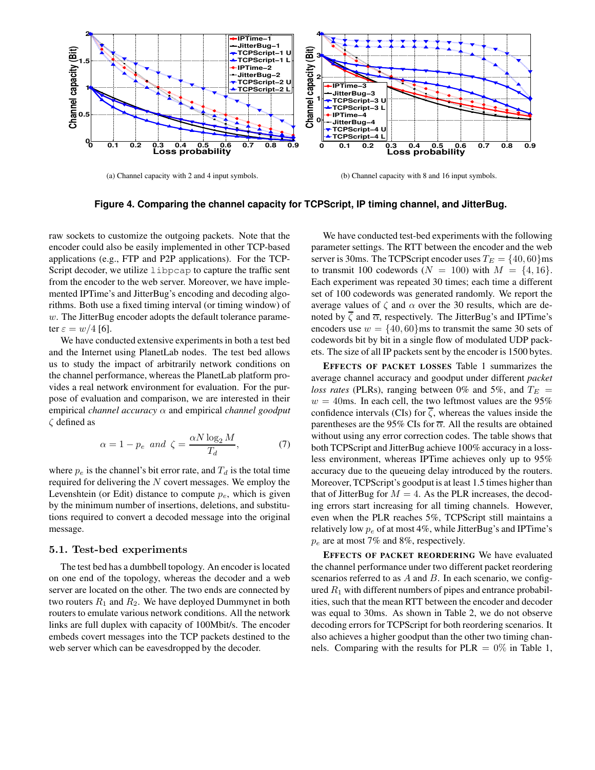

(a) Channel capacity with 2 and 4 input symbols.

(b) Channel capacity with 8 and 16 input symbols.

**Figure 4. Comparing the channel capacity for TCPScript, IP timing channel, and JitterBug.**

raw sockets to customize the outgoing packets. Note that the encoder could also be easily implemented in other TCP-based applications (e.g., FTP and P2P applications). For the TCP-Script decoder, we utilize libpcap to capture the traffic sent from the encoder to the web server. Moreover, we have implemented IPTime's and JitterBug's encoding and decoding algorithms. Both use a fixed timing interval (or timing window) of w. The JitterBug encoder adopts the default tolerance parameter  $\varepsilon = w/4$  [6].

We have conducted extensive experiments in both a test bed and the Internet using PlanetLab nodes. The test bed allows us to study the impact of arbitrarily network conditions on the channel performance, whereas the PlanetLab platform provides a real network environment for evaluation. For the purpose of evaluation and comparison, we are interested in their empirical *channel accuracy* α and empirical *channel goodput* ζ defined as

$$
\alpha = 1 - p_e \text{ and } \zeta = \frac{\alpha N \log_2 M}{T_d},\tag{7}
$$

where  $p_e$  is the channel's bit error rate, and  $T_d$  is the total time required for delivering the N covert messages. We employ the Levenshtein (or Edit) distance to compute  $p_e$ , which is given by the minimum number of insertions, deletions, and substitutions required to convert a decoded message into the original message.

#### 5.1. Test-bed experiments

The test bed has a dumbbell topology. An encoder is located on one end of the topology, whereas the decoder and a web server are located on the other. The two ends are connected by two routers  $R_1$  and  $R_2$ . We have deployed Dummynet in both routers to emulate various network conditions. All the network links are full duplex with capacity of 100Mbit/s. The encoder embeds covert messages into the TCP packets destined to the web server which can be eavesdropped by the decoder.

We have conducted test-bed experiments with the following parameter settings. The RTT between the encoder and the web server is 30ms. The TCPScript encoder uses  $T_E = \{40, 60\}$ ms to transmit 100 codewords  $(N = 100)$  with  $M = \{4, 16\}.$ Each experiment was repeated 30 times; each time a different set of 100 codewords was generated randomly. We report the average values of  $\zeta$  and  $\alpha$  over the 30 results, which are denoted by  $\overline{\zeta}$  and  $\overline{\alpha}$ , respectively. The JitterBug's and IPTime's encoders use  $w = \{40, 60\}$ ms to transmit the same 30 sets of codewords bit by bit in a single flow of modulated UDP packets. The size of all IP packets sent by the encoder is 1500 bytes.

**EFFECTS OF PACKET LOSSES** Table 1 summarizes the average channel accuracy and goodput under different *packet loss rates* (PLRs), ranging between 0% and 5%, and  $T_E$  =  $w = 40$ ms. In each cell, the two leftmost values are the 95% confidence intervals (CIs) for  $\zeta$ , whereas the values inside the parentheses are the 95% CIs for  $\overline{\alpha}$ . All the results are obtained without using any error correction codes. The table shows that both TCPScript and JitterBug achieve 100% accuracy in a lossless environment, whereas IPTime achieves only up to 95% accuracy due to the queueing delay introduced by the routers. Moreover, TCPScript's goodput is at least 1.5 times higher than that of JitterBug for  $M = 4$ . As the PLR increases, the decoding errors start increasing for all timing channels. However, even when the PLR reaches 5%, TCPScript still maintains a relatively low  $p_e$  of at most 4%, while JitterBug's and IPTime's  $p_e$  are at most 7% and 8%, respectively.

**EFFECTS OF PACKET REORDERING** We have evaluated the channel performance under two different packet reordering scenarios referred to as  $A$  and  $B$ . In each scenario, we configured  $R_1$  with different numbers of pipes and entrance probabilities, such that the mean RTT between the encoder and decoder was equal to 30ms. As shown in Table 2, we do not observe decoding errors for TCPScript for both reordering scenarios. It also achieves a higher goodput than the other two timing channels. Comparing with the results for  $PLR = 0\%$  in Table 1,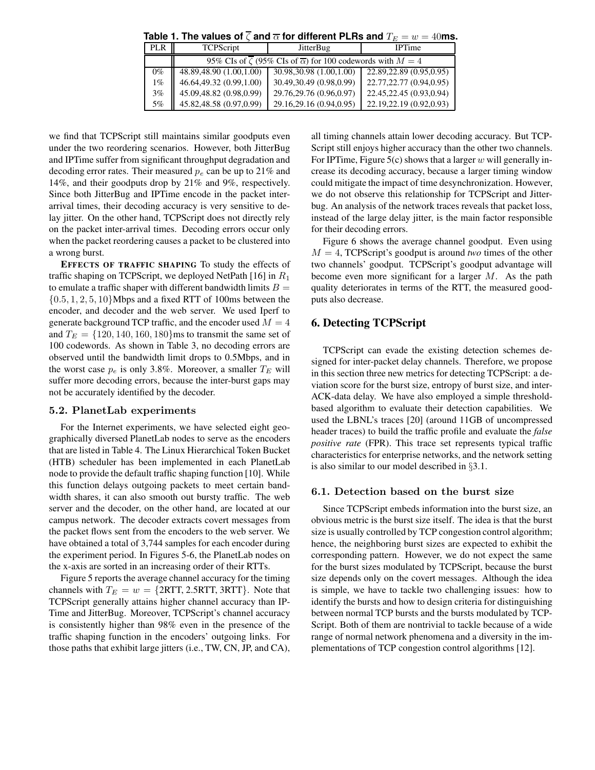| Table 1. The values of $\zeta$ and $\overline{\alpha}$ for different PLRs and $T_E=w=40$ ms. |  |
|----------------------------------------------------------------------------------------------|--|
|----------------------------------------------------------------------------------------------|--|

| <b>PLR</b> | <b>TCPScript</b>                                                                    | <b>JitterBug</b>          | <b>IPTime</b>             |  |  |  |  |  |  |
|------------|-------------------------------------------------------------------------------------|---------------------------|---------------------------|--|--|--|--|--|--|
|            | 95% CIs of $\zeta$ (95% CIs of $\overline{\alpha}$ ) for 100 codewords with $M = 4$ |                           |                           |  |  |  |  |  |  |
| $0\%$      | 48.89,48.90 (1.00,1.00)                                                             | 30.98, 30.98 (1.00, 1.00) | 22.89, 22.89 (0.95, 0.95) |  |  |  |  |  |  |
| $1\%$      | 46.64,49.32 (0.99,1.00)                                                             | 30.49,30.49 (0.98,0.99)   | 22.77, 22.77 (0.94, 0.95) |  |  |  |  |  |  |
| 3%         | 45.09,48.82 (0.98,0.99)                                                             | 29.76.29.76 (0.96,0.97)   | 22.45, 22.45 (0.93, 0.94) |  |  |  |  |  |  |
| 5%         | 45.82,48.58 (0.97,0.99)                                                             | 29.16.29.16 (0.94,0.95)   | 22.19.22.19 (0.92,0.93)   |  |  |  |  |  |  |

we find that TCPScript still maintains similar goodputs even under the two reordering scenarios. However, both JitterBug and IPTime suffer from significant throughput degradation and decoding error rates. Their measured  $p_e$  can be up to 21% and 14%, and their goodputs drop by 21% and 9%, respectively. Since both JitterBug and IPTime encode in the packet interarrival times, their decoding accuracy is very sensitive to delay jitter. On the other hand, TCPScript does not directly rely on the packet inter-arrival times. Decoding errors occur only when the packet reordering causes a packet to be clustered into a wrong burst.

**EFFECTS OF TRAFFIC SHAPING** To study the effects of traffic shaping on TCPScript, we deployed NetPath [16] in  $R_1$ to emulate a traffic shaper with different bandwidth limits  $B =$  $\{0.5, 1, 2, 5, 10\}$ Mbps and a fixed RTT of 100ms between the encoder, and decoder and the web server. We used Iperf to generate background TCP traffic, and the encoder used  $M = 4$ and  $T_E = \{120, 140, 160, 180\}$ ms to transmit the same set of 100 codewords. As shown in Table 3, no decoding errors are observed until the bandwidth limit drops to 0.5Mbps, and in the worst case  $p_e$  is only 3.8%. Moreover, a smaller  $T_E$  will suffer more decoding errors, because the inter-burst gaps may not be accurately identified by the decoder.

#### 5.2. PlanetLab experiments

For the Internet experiments, we have selected eight geographically diversed PlanetLab nodes to serve as the encoders that are listed in Table 4. The Linux Hierarchical Token Bucket (HTB) scheduler has been implemented in each PlanetLab node to provide the default traffic shaping function [10]. While this function delays outgoing packets to meet certain bandwidth shares, it can also smooth out bursty traffic. The web server and the decoder, on the other hand, are located at our campus network. The decoder extracts covert messages from the packet flows sent from the encoders to the web server. We have obtained a total of 3,744 samples for each encoder during the experiment period. In Figures 5-6, the PlanetLab nodes on the x-axis are sorted in an increasing order of their RTTs.

Figure 5 reports the average channel accuracy for the timing channels with  $T_E = w = \{2RTT, 2.5RTT, 3RTT\}$ . Note that TCPScript generally attains higher channel accuracy than IP-Time and JitterBug. Moreover, TCPScript's channel accuracy is consistently higher than 98% even in the presence of the traffic shaping function in the encoders' outgoing links. For those paths that exhibit large jitters (i.e., TW, CN, JP, and CA), all timing channels attain lower decoding accuracy. But TCP-Script still enjoys higher accuracy than the other two channels. For IPTime, Figure 5(c) shows that a larger  $w$  will generally increase its decoding accuracy, because a larger timing window could mitigate the impact of time desynchronization. However, we do not observe this relationship for TCPScript and Jitterbug. An analysis of the network traces reveals that packet loss, instead of the large delay jitter, is the main factor responsible for their decoding errors.

Figure 6 shows the average channel goodput. Even using  $M = 4$ , TCPScript's goodput is around *two* times of the other two channels' goodput. TCPScript's goodput advantage will become even more significant for a larger  $M$ . As the path quality deteriorates in terms of the RTT, the measured goodputs also decrease.

## **6. Detecting TCPScript**

TCPScript can evade the existing detection schemes designed for inter-packet delay channels. Therefore, we propose in this section three new metrics for detecting TCPScript: a deviation score for the burst size, entropy of burst size, and inter-ACK-data delay. We have also employed a simple thresholdbased algorithm to evaluate their detection capabilities. We used the LBNL's traces [20] (around 11GB of uncompressed header traces) to build the traffic profile and evaluate the *false positive rate* (FPR). This trace set represents typical traffic characteristics for enterprise networks, and the network setting is also similar to our model described in §3.1.

#### 6.1. Detection based on the burst size

Since TCPScript embeds information into the burst size, an obvious metric is the burst size itself. The idea is that the burst size is usually controlled by TCP congestion control algorithm; hence, the neighboring burst sizes are expected to exhibit the corresponding pattern. However, we do not expect the same for the burst sizes modulated by TCPScript, because the burst size depends only on the covert messages. Although the idea is simple, we have to tackle two challenging issues: how to identify the bursts and how to design criteria for distinguishing between normal TCP bursts and the bursts modulated by TCP-Script. Both of them are nontrivial to tackle because of a wide range of normal network phenomena and a diversity in the implementations of TCP congestion control algorithms [12].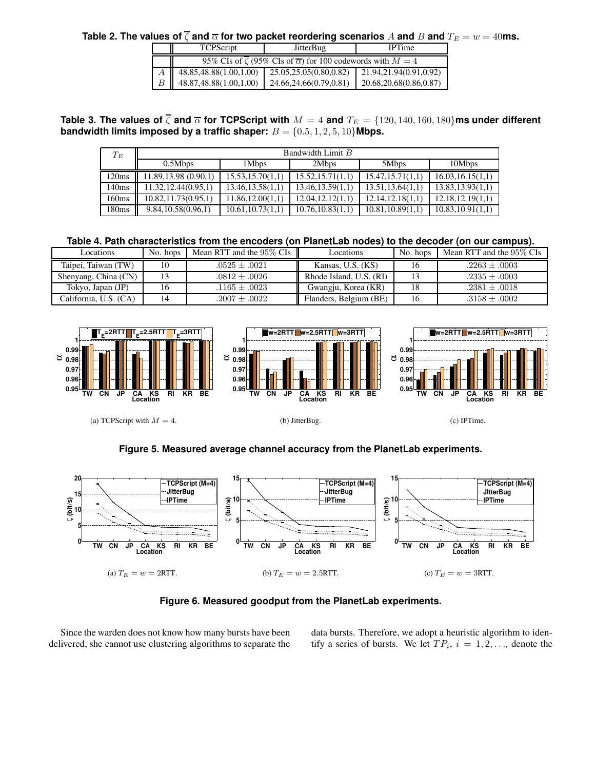**Table 2. The values of**  $\overline{\zeta}$  and  $\overline{\alpha}$  for two packet reordering scenarios A and B and  $T_E = w = 40$ ms.

|  | <b>TCPScript</b>                                                                    | <b>JitterBug</b>       | <b>IPTime</b>             |  |  |  |  |  |
|--|-------------------------------------------------------------------------------------|------------------------|---------------------------|--|--|--|--|--|
|  | 95% CIs of $\zeta$ (95% CIs of $\overline{\alpha}$ ) for 100 codewords with $M = 4$ |                        |                           |  |  |  |  |  |
|  | 48.85,48.88(1.00,1.00)                                                              | 25.05,25.05(0.80,0.82) | 21.94,21.94(0.91,0.92)    |  |  |  |  |  |
|  | 48.87,48.88(1.00,1.00)                                                              | 24.66,24.66(0.79,0.81) | 20.68, 20.68 (0.86, 0.87) |  |  |  |  |  |

**Table 3. The values of**  $\overline{\zeta}$  **and**  $\overline{\alpha}$  **for TCPScript with**  $M = 4$  **and**  $T_E = \{120, 140, 160, 180\}$ **ms under different bandwidth limits imposed by a traffic shaper:**  $B = \{0.5, 1, 2, 5, 10\}$ Mbps.

| $T_E\,$ | Bandwidth Limit B    |                   |                   |                   |                   |  |  |  |  |
|---------|----------------------|-------------------|-------------------|-------------------|-------------------|--|--|--|--|
|         | 0.5Mbps              | 1Mbps             | 2Mbps             | 5Mbps             | 10Mbps            |  |  |  |  |
| 120ms   | 11.89, 13.98(0.90,1) | 15.53, 15.70(1,1) | 15.52, 15.71(1,1) | 15.47, 15.71(1,1) | 16.03, 16.15(1,1) |  |  |  |  |
| 140ms   | 11.32, 12.44(0.95,1) | 13.46, 13.58(1,1) | 13.46.13.59(1.1)  | 13.51.13.64(1.1)  | 13.83, 13.93(1,1) |  |  |  |  |
| 160ms   | 10.82, 11.73(0.95,1) | 11.86, 12.00(1,1) | 12.04.12.12(1.1)  | 12.14.12.18(1.1)  | 12.18.12.19(1.1)  |  |  |  |  |
| 180ms   | 9.84, 10.58(0.96, 1) | 10.61, 10.73(1,1) | 10.76, 10.83(1,1) | 10.81, 10.89(1,1) | 10.83, 10.91(1,1) |  |  |  |  |

**Table 4. Path characteristics from the encoders (on PlanetLab nodes) to the decoder (on our campus).**

| Locations             | No. hops | Mean RTT and the 95% CIs | Locations               | No. hops | Mean RTT and the $95\%$ CIs |
|-----------------------|----------|--------------------------|-------------------------|----------|-----------------------------|
| Taipei, Taiwan (TW)   |          | $.0525 \pm .0021$        | Kansas, U.S. (KS)       |          | $.2263 \pm .0003$           |
| Shenyang, China (CN)  |          | $.0812 \pm .0026$        | Rhode Island, U.S. (RI) |          | $.2335 \pm .0003$           |
| Tokyo, Japan (JP)     | 16       | $.1165 \pm .0023$        | Gwangju, Korea (KR)     |          | $.2381 \pm .0018$           |
| California, U.S. (CA) |          | $.2007 \pm .0022$        | Flanders, Belgium (BE)  |          | $.3158 \pm .0002$           |



**Figure 5. Measured average channel accuracy from the PlanetLab experiments.**



**Figure 6. Measured goodput from the PlanetLab experiments.**

Since the warden does not know how many bursts have been delivered, she cannot use clustering algorithms to separate the data bursts. Therefore, we adopt a heuristic algorithm to identify a series of bursts. We let  $TP_i$ ,  $i = 1, 2, \ldots$ , denote the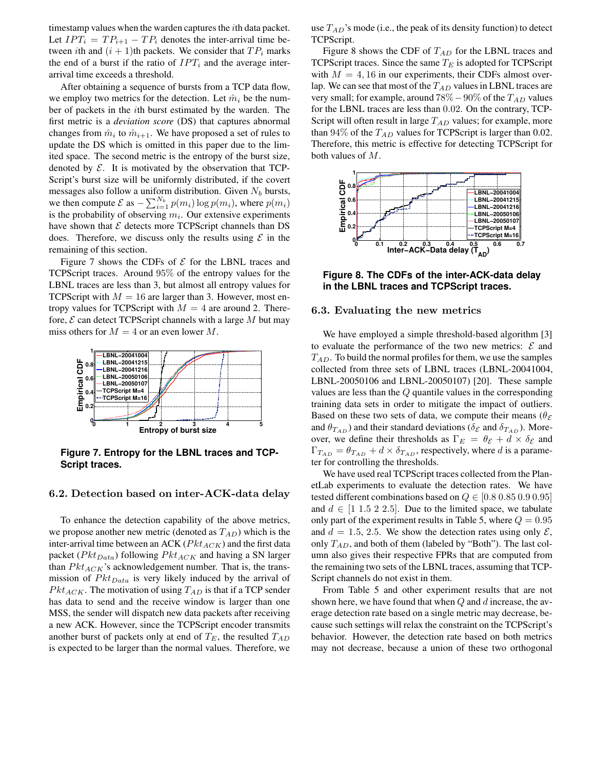timestamp values when the warden captures the  $i$ th data packet. Let  $IPT_i = TP_{i+1} - TP_i$  denotes the inter-arrival time between ith and  $(i + 1)$ th packets. We consider that  $TP_i$  marks the end of a burst if the ratio of  $IPT_i$  and the average interarrival time exceeds a threshold.

After obtaining a sequence of bursts from a TCP data flow, we employ two metrics for the detection. Let  $\hat{m}_i$  be the number of packets in the ith burst estimated by the warden. The first metric is a *deviation score* (DS) that captures abnormal changes from  $\hat{m}_i$  to  $\hat{m}_{i+1}$ . We have proposed a set of rules to update the DS which is omitted in this paper due to the limited space. The second metric is the entropy of the burst size, denoted by  $\mathcal E$ . It is motivated by the observation that TCP-Script's burst size will be uniformly distributed, if the covert messages also follow a uniform distribution. Given  $N_b$  bursts, we then compute  $\mathcal{E}$  as  $-\sum_{i=1}^{N_b} p(m_i) \log p(m_i)$ , where  $p(m_i)$ is the probability of observing  $m_i$ . Our extensive experiments have shown that  $\mathcal E$  detects more TCPScript channels than DS does. Therefore, we discuss only the results using  $\mathcal E$  in the remaining of this section.

Figure 7 shows the CDFs of  $E$  for the LBNL traces and TCPScript traces. Around 95% of the entropy values for the LBNL traces are less than 3, but almost all entropy values for TCPScript with  $M = 16$  are larger than 3. However, most entropy values for TCPScript with  $M = 4$  are around 2. Therefore,  $\mathcal E$  can detect TCPScript channels with a large  $M$  but may miss others for  $M = 4$  or an even lower M.



**Figure 7. Entropy for the LBNL traces and TCP-Script traces.**

#### 6.2. Detection based on inter-ACK-data delay

To enhance the detection capability of the above metrics, we propose another new metric (denoted as  $T_{AD}$ ) which is the inter-arrival time between an ACK ( $Pkt_{ACK}$ ) and the first data packet ( $Pkt<sub>Data</sub>$ ) following  $Pkt<sub>ACK</sub>$  and having a SN larger than  $Pkt_{ACK}$ 's acknowledgement number. That is, the transmission of  $Pkt<sub>Data</sub>$  is very likely induced by the arrival of  $Pkt_{ACK}$ . The motivation of using  $T_{AD}$  is that if a TCP sender has data to send and the receive window is larger than one MSS, the sender will dispatch new data packets after receiving a new ACK. However, since the TCPScript encoder transmits another burst of packets only at end of  $T_E$ , the resulted  $T_{AD}$ is expected to be larger than the normal values. Therefore, we use  $T_{AD}$ 's mode (i.e., the peak of its density function) to detect TCPScript.

Figure 8 shows the CDF of  $T_{AD}$  for the LBNL traces and TCPScript traces. Since the same  $T_E$  is adopted for TCPScript with  $M = 4, 16$  in our experiments, their CDFs almost overlap. We can see that most of the  $T_{AD}$  values in LBNL traces are very small; for example, around  $78\% - 90\%$  of the  $T_{AD}$  values for the LBNL traces are less than 0.02. On the contrary, TCP-Script will often result in large  $T_{AD}$  values; for example, more than  $94\%$  of the  $T_{AD}$  values for TCPScript is larger than 0.02. Therefore, this metric is effective for detecting TCPScript for both values of M.



**Figure 8. The CDFs of the inter-ACK-data delay in the LBNL traces and TCPScript traces.**

#### 6.3. Evaluating the new metrics

We have employed a simple threshold-based algorithm [3] to evaluate the performance of the two new metrics:  $\mathcal E$  and  $T_{AD}$ . To build the normal profiles for them, we use the samples collected from three sets of LBNL traces (LBNL-20041004, LBNL-20050106 and LBNL-20050107) [20]. These sample values are less than the Q quantile values in the corresponding training data sets in order to mitigate the impact of outliers. Based on these two sets of data, we compute their means ( $\theta_{\mathcal{E}}$ ) and  $\theta_{T_{AD}}$ ) and their standard deviations ( $\delta_{\mathcal{E}}$  and  $\delta_{T_{AD}}$ ). Moreover, we define their thresholds as  $\Gamma_E = \theta_{\mathcal{E}} + d \times \delta_{\mathcal{E}}$  and  $\Gamma_{T_{AD}} = \theta_{T_{AD}} + d \times \delta_{T_{AD}}$ , respectively, where d is a parameter for controlling the thresholds.

We have used real TCPScript traces collected from the PlanetLab experiments to evaluate the detection rates. We have tested different combinations based on  $Q \in [0.8, 0.85, 0.9, 0.95]$ and  $d \in [1 \ 1.5 \ 2 \ 2.5]$ . Due to the limited space, we tabulate only part of the experiment results in Table 5, where  $Q = 0.95$ and  $d = 1.5, 2.5$ . We show the detection rates using only  $\mathcal{E}$ , only  $T_{AD}$ , and both of them (labeled by "Both"). The last column also gives their respective FPRs that are computed from the remaining two sets of the LBNL traces, assuming that TCP-Script channels do not exist in them.

From Table 5 and other experiment results that are not shown here, we have found that when  $Q$  and  $d$  increase, the average detection rate based on a single metric may decrease, because such settings will relax the constraint on the TCPScript's behavior. However, the detection rate based on both metrics may not decrease, because a union of these two orthogonal